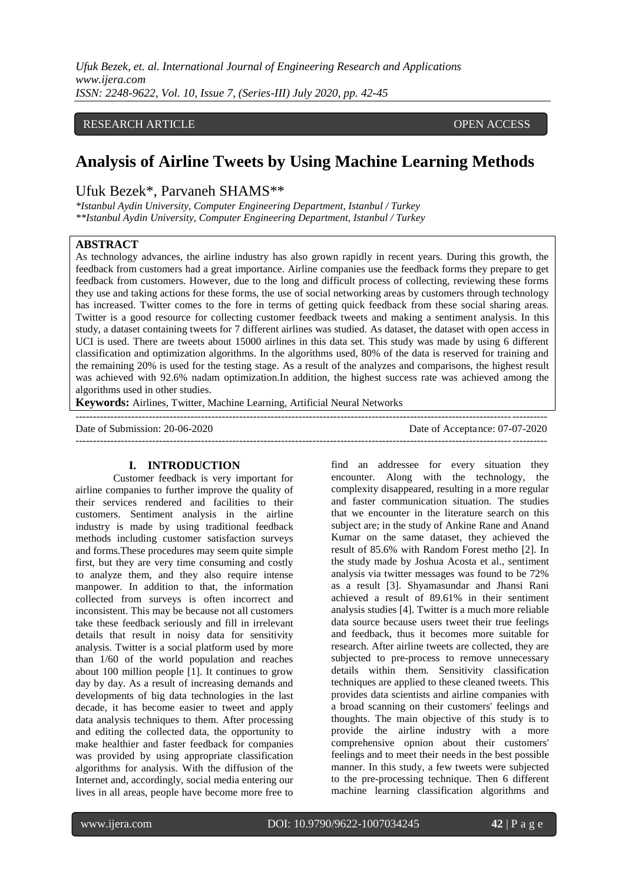*Ufuk Bezek, et. al. International Journal of Engineering Research and Applications www.ijera.com ISSN: 2248-9622, Vol. 10, Issue 7, (Series-III) July 2020, pp. 42-45*

### RESEARCH ARTICLE **CONSERVERS** OPEN ACCESS

# **Analysis of Airline Tweets by Using Machine Learning Methods**

# Ufuk Bezek\*, Parvaneh SHAMS\*\*

*\*Istanbul Aydin University, Computer Engineering Department, Istanbul / Turkey \*\*Istanbul Aydin University, Computer Engineering Department, Istanbul / Turkey*

#### **ABSTRACT**

As technology advances, the airline industry has also grown rapidly in recent years. During this growth, the feedback from customers had a great importance. Airline companies use the feedback forms they prepare to get feedback from customers. However, due to the long and difficult process of collecting, reviewing these forms they use and taking actions for these forms, the use of social networking areas by customers through technology has increased. Twitter comes to the fore in terms of getting quick feedback from these social sharing areas. Twitter is a good resource for collecting customer feedback tweets and making a sentiment analysis. In this study, a dataset containing tweets for 7 different airlines was studied. As dataset, the dataset with open access in UCI is used. There are tweets about 15000 airlines in this data set. This study was made by using 6 different classification and optimization algorithms. In the algorithms used, 80% of the data is reserved for training and the remaining 20% is used for the testing stage. As a result of the analyzes and comparisons, the highest result was achieved with 92.6% nadam optimization.In addition, the highest success rate was achieved among the algorithms used in other studies.

---------------------------------------------------------------------------------------------------------------------------------------

**Keywords:** Airlines, Twitter, Machine Learning, Artificial Neural Networks

Date of Submission: 20-06-2020 Date of Acceptance: 07-07-2020 ---------------------------------------------------------------------------------------------------------------------------------------

#### **I. INTRODUCTION**

Customer feedback is very important for airline companies to further improve the quality of their services rendered and facilities to their customers. Sentiment analysis in the airline industry is made by using traditional feedback methods including customer satisfaction surveys and forms.These procedures may seem quite simple first, but they are very time consuming and costly to analyze them, and they also require intense manpower. In addition to that, the information collected from surveys is often incorrect and inconsistent. This may be because not all customers take these feedback seriously and fill in irrelevant details that result in noisy data for sensitivity analysis. Twitter is a social platform used by more than 1/60 of the world population and reaches about 100 million people [1]. It continues to grow day by day. As a result of increasing demands and developments of big data technologies in the last decade, it has become easier to tweet and apply data analysis techniques to them. After processing and editing the collected data, the opportunity to make healthier and faster feedback for companies was provided by using appropriate classification algorithms for analysis. With the diffusion of the Internet and, accordingly, social media entering our lives in all areas, people have become more free to

find an addressee for every situation they encounter. Along with the technology, the complexity disappeared, resulting in a more regular and faster communication situation. The studies that we encounter in the literature search on this subject are; in the study of Ankine Rane and Anand Kumar on the same dataset, they achieved the result of 85.6% with Random Forest metho [2]. In the study made by Joshua Acosta et al., sentiment analysis via twitter messages was found to be 72% as a result [3]. Shyamasundar and Jhansi Rani achieved a result of 89.61% in their sentiment analysis studies [4]. Twitter is a much more reliable data source because users tweet their true feelings and feedback, thus it becomes more suitable for research. After airline tweets are collected, they are subjected to pre-process to remove unnecessary details within them. Sensitivity classification techniques are applied to these cleaned tweets. This provides data scientists and airline companies with a broad scanning on their customers' feelings and thoughts. The main objective of this study is to provide the airline industry with a more comprehensive opnion about their customers' feelings and to meet their needs in the best possible manner. In this study, a few tweets were subjected to the pre-processing technique. Then 6 different machine learning classification algorithms and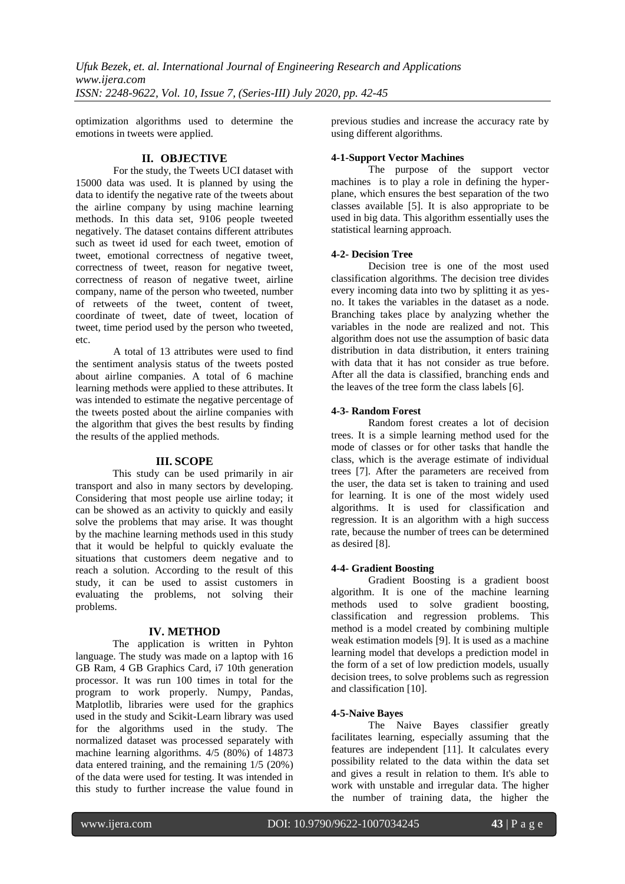optimization algorithms used to determine the emotions in tweets were applied.

# **II. OBJECTIVE**

For the study, the Tweets UCI dataset with 15000 data was used. It is planned by using the data to identify the negative rate of the tweets about the airline company by using machine learning methods. In this data set, 9106 people tweeted negatively. The dataset contains different attributes such as tweet id used for each tweet, emotion of tweet, emotional correctness of negative tweet, correctness of tweet, reason for negative tweet, correctness of reason of negative tweet, airline company, name of the person who tweeted, number of retweets of the tweet, content of tweet, coordinate of tweet, date of tweet, location of tweet, time period used by the person who tweeted, etc.

A total of 13 attributes were used to find the sentiment analysis status of the tweets posted about airline companies. A total of 6 machine learning methods were applied to these attributes. It was intended to estimate the negative percentage of the tweets posted about the airline companies with the algorithm that gives the best results by finding the results of the applied methods.

#### **III. SCOPE**

This study can be used primarily in air transport and also in many sectors by developing. Considering that most people use airline today; it can be showed as an activity to quickly and easily solve the problems that may arise. It was thought by the machine learning methods used in this study that it would be helpful to quickly evaluate the situations that customers deem negative and to reach a solution. According to the result of this study, it can be used to assist customers in evaluating the problems, not solving their problems.

#### **IV. METHOD**

The application is written in Pyhton language. The study was made on a laptop with 16 GB Ram, 4 GB Graphics Card, i7 10th generation processor. It was run 100 times in total for the program to work properly. Numpy, Pandas, Matplotlib, libraries were used for the graphics used in the study and Scikit-Learn library was used for the algorithms used in the study. The normalized dataset was processed separately with machine learning algorithms. 4/5 (80%) of 14873 data entered training, and the remaining 1/5 (20%) of the data were used for testing. It was intended in this study to further increase the value found in previous studies and increase the accuracy rate by using different algorithms.

#### **4-1-Support Vector Machines**

The purpose of the support vector machines is to play a role in defining the hyperplane, which ensures the best separation of the two classes available [5]. It is also appropriate to be used in big data. This algorithm essentially uses the statistical learning approach.

### **4-2- Decision Tree**

Decision tree is one of the most used classification algorithms. The decision tree divides every incoming data into two by splitting it as yesno. It takes the variables in the dataset as a node. Branching takes place by analyzing whether the variables in the node are realized and not. This algorithm does not use the assumption of basic data distribution in data distribution, it enters training with data that it has not consider as true before. After all the data is classified, branching ends and the leaves of the tree form the class labels [6].

### **4-3- Random Forest**

Random forest creates a lot of decision trees. It is a simple learning method used for the mode of classes or for other tasks that handle the class, which is the average estimate of individual trees [7]. After the parameters are received from the user, the data set is taken to training and used for learning. It is one of the most widely used algorithms. It is used for classification and regression. It is an algorithm with a high success rate, because the number of trees can be determined as desired [8].

# **4-4- Gradient Boosting**

Gradient Boosting is a gradient boost algorithm. It is one of the machine learning methods used to solve gradient boosting, classification and regression problems. This method is a model created by combining multiple weak estimation models [9]. It is used as a machine learning model that develops a prediction model in the form of a set of low prediction models, usually decision trees, to solve problems such as regression and classification [10].

#### **4-5-Naive Bayes**

The Naive Bayes classifier greatly facilitates learning, especially assuming that the features are independent [11]. It calculates every possibility related to the data within the data set and gives a result in relation to them. It's able to work with unstable and irregular data. The higher the number of training data, the higher the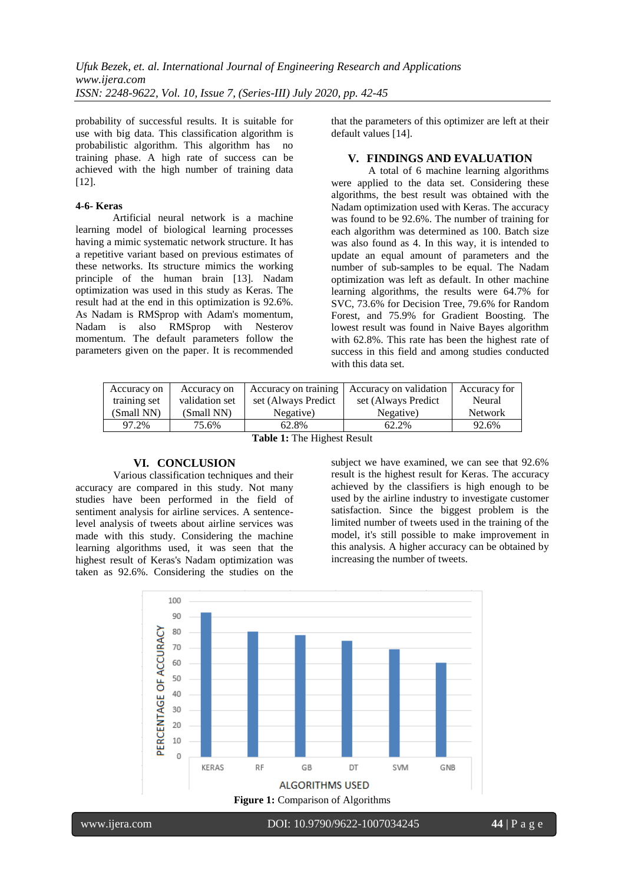probability of successful results. It is suitable for use with big data. This classification algorithm is probabilistic algorithm. This algorithm has no training phase. A high rate of success can be achieved with the high number of training data [12].

#### **4-6- Keras**

Artificial neural network is a machine learning model of biological learning processes having a mimic systematic network structure. It has a repetitive variant based on previous estimates of these networks. Its structure mimics the working principle of the human brain [13]. Nadam optimization was used in this study as Keras. The result had at the end in this optimization is 92.6%. As Nadam is RMSprop with Adam's momentum, Nadam is also RMSprop with Nesterov momentum. The default parameters follow the parameters given on the paper. It is recommended

that the parameters of this optimizer are left at their default values [14].

#### **V. FINDINGS AND EVALUATION**

A total of 6 machine learning algorithms were applied to the data set. Considering these algorithms, the best result was obtained with the Nadam optimization used with Keras. The accuracy was found to be 92.6%. The number of training for each algorithm was determined as 100. Batch size was also found as 4. In this way, it is intended to update an equal amount of parameters and the number of sub-samples to be equal. The Nadam optimization was left as default. In other machine learning algorithms, the results were 64.7% for SVC, 73.6% for Decision Tree, 79.6% for Random Forest, and 75.9% for Gradient Boosting. The lowest result was found in Naive Bayes algorithm with 62.8%. This rate has been the highest rate of success in this field and among studies conducted with this data set.

| Accuracy on            | Accuracy on    | Accuracy on training | Accuracy on validation | Accuracy for   |
|------------------------|----------------|----------------------|------------------------|----------------|
| training set           | validation set | set (Always Predict) | set (Always Predict)   | Neural         |
| (Small NN)             | (Small NN)     | Negative)            | Negative)              | <b>Network</b> |
| 97.2%                  | 75.6%          | 62.8%                | 62.2%                  | 92.6%          |
| $T = 11.1$ . $T = 1.1$ |                |                      |                        |                |

**Table 1:** The Highest Result

#### **VI. CONCLUSION**

Various classification techniques and their accuracy are compared in this study. Not many studies have been performed in the field of sentiment analysis for airline services. A sentencelevel analysis of tweets about airline services was made with this study. Considering the machine learning algorithms used, it was seen that the highest result of Keras's Nadam optimization was taken as 92.6%. Considering the studies on the

subject we have examined, we can see that 92.6% result is the highest result for Keras. The accuracy achieved by the classifiers is high enough to be used by the airline industry to investigate customer satisfaction. Since the biggest problem is the limited number of tweets used in the training of the model, it's still possible to make improvement in this analysis. A higher accuracy can be obtained by increasing the number of tweets.